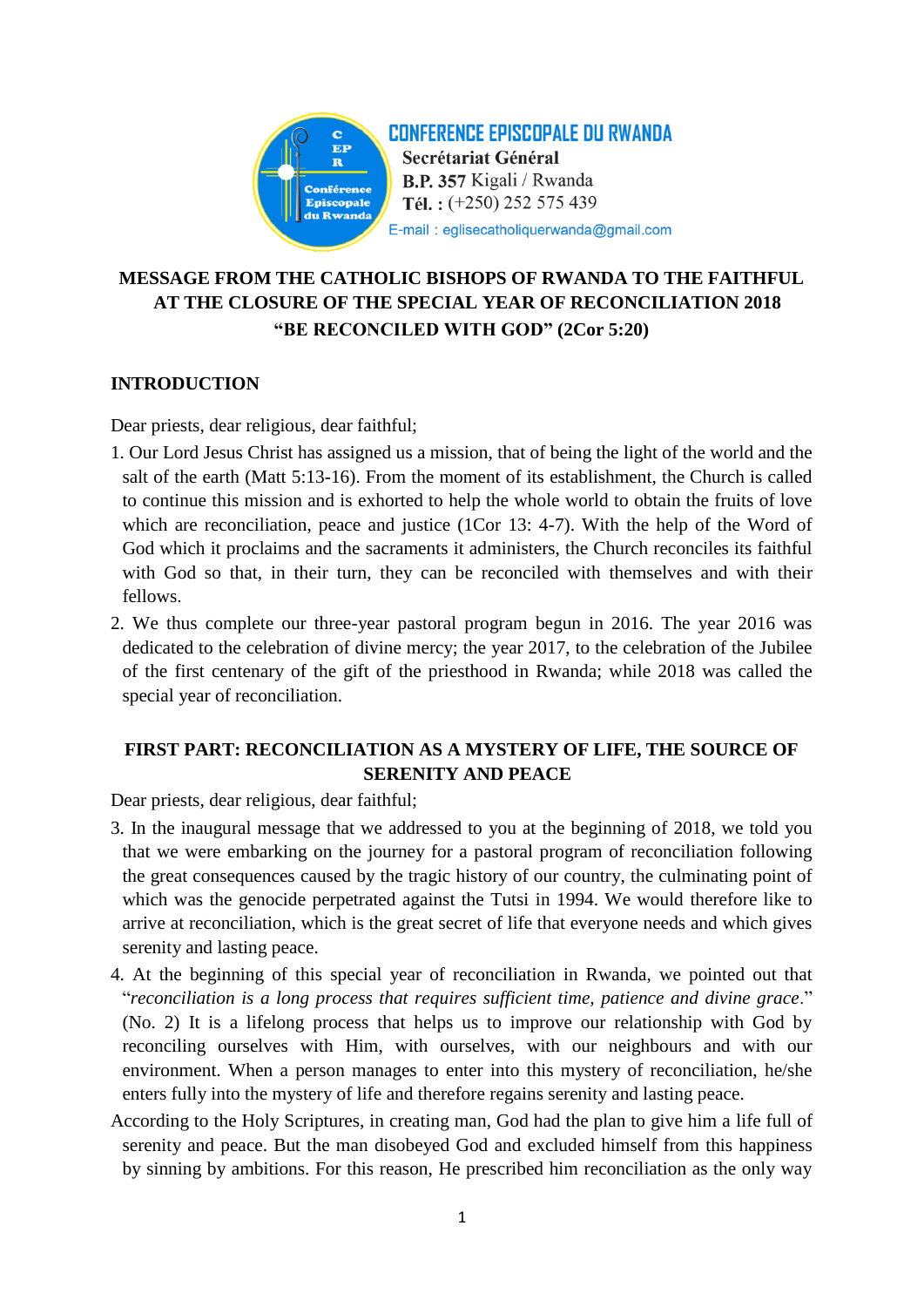

# **MESSAGE FROM THE CATHOLIC BISHOPS OF RWANDA TO THE FAITHFUL AT THE CLOSURE OF THE SPECIAL YEAR OF RECONCILIATION 2018 "BE RECONCILED WITH GOD" (2Cor 5:20)**

## **INTRODUCTION**

Dear priests, dear religious, dear faithful;

- 1. Our Lord Jesus Christ has assigned us a mission, that of being the light of the world and the salt of the earth (Matt 5:13-16). From the moment of its establishment, the Church is called to continue this mission and is exhorted to help the whole world to obtain the fruits of love which are reconciliation, peace and justice (1Cor 13: 4-7). With the help of the Word of God which it proclaims and the sacraments it administers, the Church reconciles its faithful with God so that, in their turn, they can be reconciled with themselves and with their fellows.
- 2. We thus complete our three-year pastoral program begun in 2016. The year 2016 was dedicated to the celebration of divine mercy; the year 2017, to the celebration of the Jubilee of the first centenary of the gift of the priesthood in Rwanda; while 2018 was called the special year of reconciliation.

# **FIRST PART: RECONCILIATION AS A MYSTERY OF LIFE, THE SOURCE OF SERENITY AND PEACE**

Dear priests, dear religious, dear faithful;

- 3. In the inaugural message that we addressed to you at the beginning of 2018, we told you that we were embarking on the journey for a pastoral program of reconciliation following the great consequences caused by the tragic history of our country, the culminating point of which was the genocide perpetrated against the Tutsi in 1994. We would therefore like to arrive at reconciliation, which is the great secret of life that everyone needs and which gives serenity and lasting peace.
- 4. At the beginning of this special year of reconciliation in Rwanda, we pointed out that "*reconciliation is a long process that requires sufficient time, patience and divine grace*." (No. 2) It is a lifelong process that helps us to improve our relationship with God by reconciling ourselves with Him, with ourselves, with our neighbours and with our environment. When a person manages to enter into this mystery of reconciliation, he/she enters fully into the mystery of life and therefore regains serenity and lasting peace.
- According to the Holy Scriptures, in creating man, God had the plan to give him a life full of serenity and peace. But the man disobeyed God and excluded himself from this happiness by sinning by ambitions. For this reason, He prescribed him reconciliation as the only way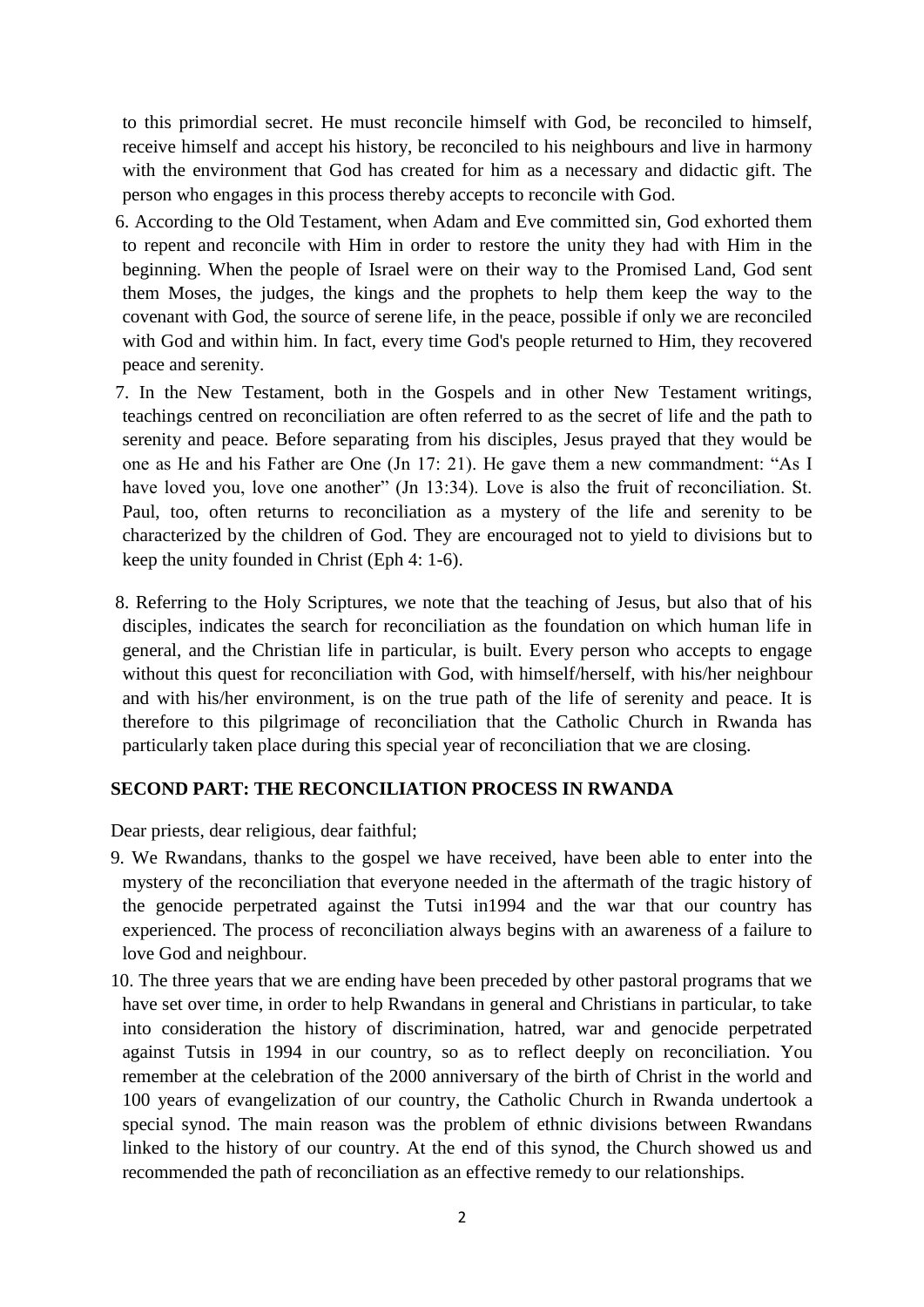to this primordial secret. He must reconcile himself with God, be reconciled to himself, receive himself and accept his history, be reconciled to his neighbours and live in harmony with the environment that God has created for him as a necessary and didactic gift. The person who engages in this process thereby accepts to reconcile with God.

- 6. According to the Old Testament, when Adam and Eve committed sin, God exhorted them to repent and reconcile with Him in order to restore the unity they had with Him in the beginning. When the people of Israel were on their way to the Promised Land, God sent them Moses, the judges, the kings and the prophets to help them keep the way to the covenant with God, the source of serene life, in the peace, possible if only we are reconciled with God and within him. In fact, every time God's people returned to Him, they recovered peace and serenity.
- 7. In the New Testament, both in the Gospels and in other New Testament writings, teachings centred on reconciliation are often referred to as the secret of life and the path to serenity and peace. Before separating from his disciples, Jesus prayed that they would be one as He and his Father are One (Jn 17: 21). He gave them a new commandment: "As I have loved you, love one another" (Jn 13:34). Love is also the fruit of reconciliation. St. Paul, too, often returns to reconciliation as a mystery of the life and serenity to be characterized by the children of God. They are encouraged not to yield to divisions but to keep the unity founded in Christ (Eph 4: 1-6).
- 8. Referring to the Holy Scriptures, we note that the teaching of Jesus, but also that of his disciples, indicates the search for reconciliation as the foundation on which human life in general, and the Christian life in particular, is built. Every person who accepts to engage without this quest for reconciliation with God, with himself/herself, with his/her neighbour and with his/her environment, is on the true path of the life of serenity and peace. It is therefore to this pilgrimage of reconciliation that the Catholic Church in Rwanda has particularly taken place during this special year of reconciliation that we are closing.

#### **SECOND PART: THE RECONCILIATION PROCESS IN RWANDA**

Dear priests, dear religious, dear faithful;

- 9. We Rwandans, thanks to the gospel we have received, have been able to enter into the mystery of the reconciliation that everyone needed in the aftermath of the tragic history of the genocide perpetrated against the Tutsi in1994 and the war that our country has experienced. The process of reconciliation always begins with an awareness of a failure to love God and neighbour.
- 10. The three years that we are ending have been preceded by other pastoral programs that we have set over time, in order to help Rwandans in general and Christians in particular, to take into consideration the history of discrimination, hatred, war and genocide perpetrated against Tutsis in 1994 in our country, so as to reflect deeply on reconciliation. You remember at the celebration of the 2000 anniversary of the birth of Christ in the world and 100 years of evangelization of our country, the Catholic Church in Rwanda undertook a special synod. The main reason was the problem of ethnic divisions between Rwandans linked to the history of our country. At the end of this synod, the Church showed us and recommended the path of reconciliation as an effective remedy to our relationships.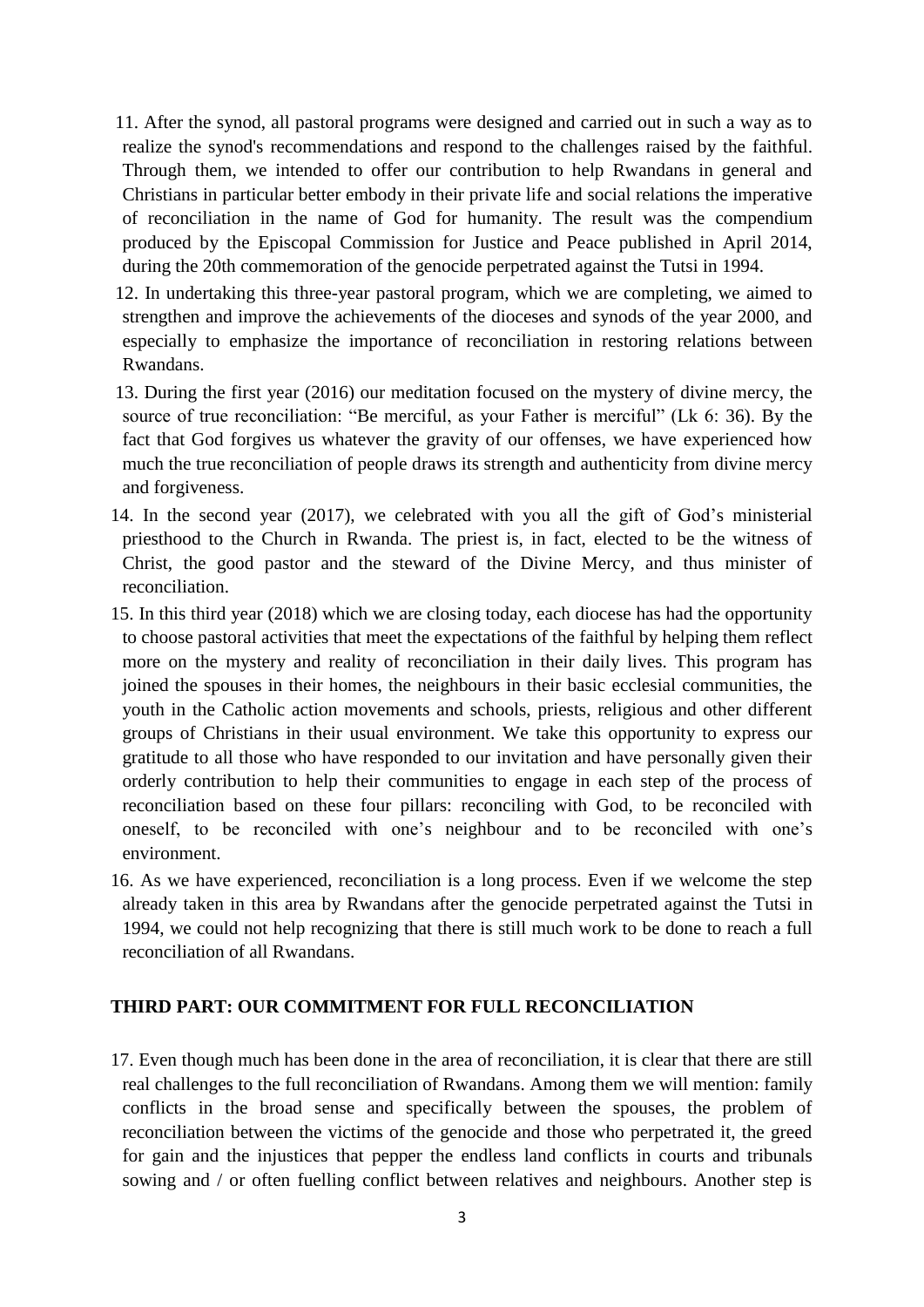11. After the synod, all pastoral programs were designed and carried out in such a way as to realize the synod's recommendations and respond to the challenges raised by the faithful. Through them, we intended to offer our contribution to help Rwandans in general and Christians in particular better embody in their private life and social relations the imperative of reconciliation in the name of God for humanity. The result was the compendium produced by the Episcopal Commission for Justice and Peace published in April 2014, during the 20th commemoration of the genocide perpetrated against the Tutsi in 1994.

12. In undertaking this three-year pastoral program, which we are completing, we aimed to strengthen and improve the achievements of the dioceses and synods of the year 2000, and especially to emphasize the importance of reconciliation in restoring relations between Rwandans.

13. During the first year (2016) our meditation focused on the mystery of divine mercy, the source of true reconciliation: "Be merciful, as your Father is merciful" (Lk 6: 36). By the fact that God forgives us whatever the gravity of our offenses, we have experienced how much the true reconciliation of people draws its strength and authenticity from divine mercy and forgiveness.

- 14. In the second year (2017), we celebrated with you all the gift of God's ministerial priesthood to the Church in Rwanda. The priest is, in fact, elected to be the witness of Christ, the good pastor and the steward of the Divine Mercy, and thus minister of reconciliation.
- 15. In this third year (2018) which we are closing today, each diocese has had the opportunity to choose pastoral activities that meet the expectations of the faithful by helping them reflect more on the mystery and reality of reconciliation in their daily lives. This program has joined the spouses in their homes, the neighbours in their basic ecclesial communities, the youth in the Catholic action movements and schools, priests, religious and other different groups of Christians in their usual environment. We take this opportunity to express our gratitude to all those who have responded to our invitation and have personally given their orderly contribution to help their communities to engage in each step of the process of reconciliation based on these four pillars: reconciling with God, to be reconciled with oneself, to be reconciled with one's neighbour and to be reconciled with one's environment.
- 16. As we have experienced, reconciliation is a long process. Even if we welcome the step already taken in this area by Rwandans after the genocide perpetrated against the Tutsi in 1994, we could not help recognizing that there is still much work to be done to reach a full reconciliation of all Rwandans.

#### **THIRD PART: OUR COMMITMENT FOR FULL RECONCILIATION**

17. Even though much has been done in the area of reconciliation, it is clear that there are still real challenges to the full reconciliation of Rwandans. Among them we will mention: family conflicts in the broad sense and specifically between the spouses, the problem of reconciliation between the victims of the genocide and those who perpetrated it, the greed for gain and the injustices that pepper the endless land conflicts in courts and tribunals sowing and / or often fuelling conflict between relatives and neighbours. Another step is